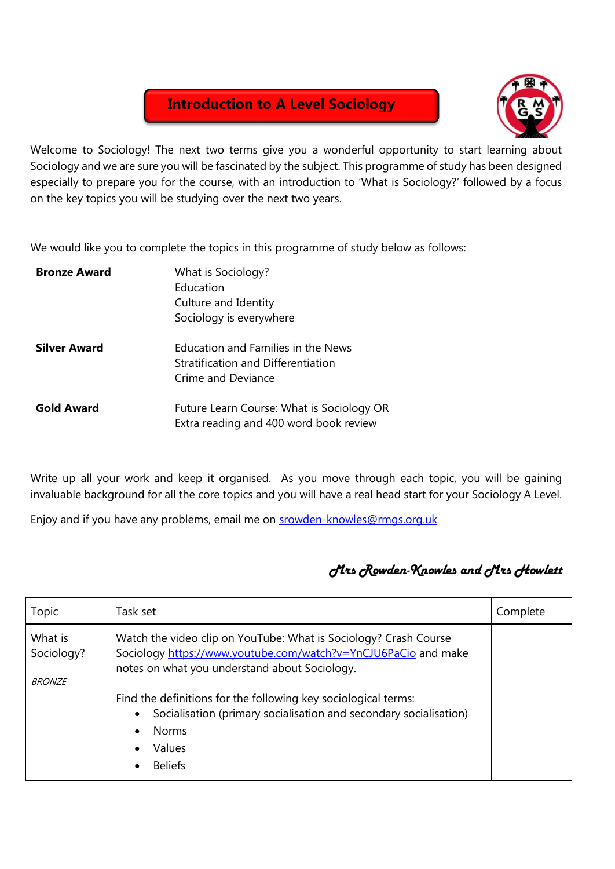## **Introduction to A Level Sociology**



Welcome to Sociology! The next two terms give you a wonderful opportunity to start learning about Sociology and we are sure you will be fascinated by the subject. This programme of study has been designed especially to prepare you for the course, with an introduction to 'What is Sociology?' followed by a focus on the key topics you will be studying over the next two years.

We would like you to complete the topics in this programme of study below as follows:

| <b>Bronze Award</b> | What is Sociology?<br>Education<br>Culture and Identity<br>Sociology is everywhere             |
|---------------------|------------------------------------------------------------------------------------------------|
| <b>Silver Award</b> | Education and Families in the News<br>Stratification and Differentiation<br>Crime and Deviance |
| <b>Gold Award</b>   | Future Learn Course: What is Sociology OR<br>Extra reading and 400 word book review            |

Write up all your work and keep it organised. As you move through each topic, you will be gaining invaluable background for all the core topics and you will have a real head start for your Sociology A Level.

Enjoy and if you have any problems, email me on **srowden-knowles@rmgs.org.uk** 

## *Mrs Rowden-Knowles and Mrs Howlett*

| Topic                                  | Task set                                                                                                                                                                            | Complete |
|----------------------------------------|-------------------------------------------------------------------------------------------------------------------------------------------------------------------------------------|----------|
| What is<br>Sociology?<br><b>BRONZE</b> | Watch the video clip on YouTube: What is Sociology? Crash Course<br>Sociology https://www.youtube.com/watch?v=YnCJU6PaCio and make<br>notes on what you understand about Sociology. |          |
|                                        | Find the definitions for the following key sociological terms:<br>Socialisation (primary socialisation and secondary socialisation)<br><b>Norms</b><br>Values<br><b>Beliefs</b>     |          |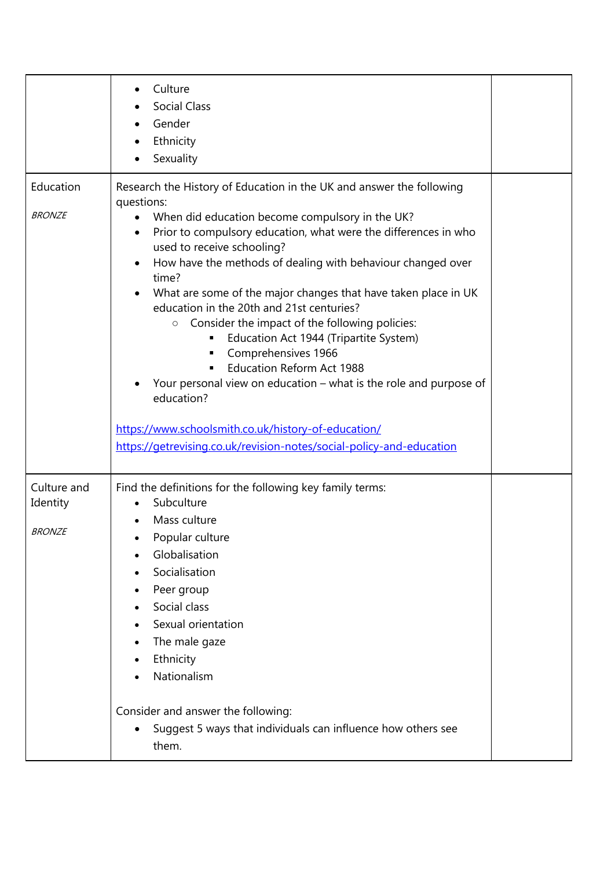|                                          | Culture<br>٠<br><b>Social Class</b><br>Gender<br>Ethnicity<br>Sexuality                                                                                                                                                                                                                                                                                                                                                                                                                                                                                                                                                                                                                                                                                                                                                                                                      |  |
|------------------------------------------|------------------------------------------------------------------------------------------------------------------------------------------------------------------------------------------------------------------------------------------------------------------------------------------------------------------------------------------------------------------------------------------------------------------------------------------------------------------------------------------------------------------------------------------------------------------------------------------------------------------------------------------------------------------------------------------------------------------------------------------------------------------------------------------------------------------------------------------------------------------------------|--|
| Education<br><b>BRONZE</b>               | Research the History of Education in the UK and answer the following<br>questions:<br>When did education become compulsory in the UK?<br>٠<br>Prior to compulsory education, what were the differences in who<br>٠<br>used to receive schooling?<br>How have the methods of dealing with behaviour changed over<br>$\bullet$<br>time?<br>What are some of the major changes that have taken place in UK<br>$\bullet$<br>education in the 20th and 21st centuries?<br>Consider the impact of the following policies:<br>$\circ$<br>Education Act 1944 (Tripartite System)<br>Comprehensives 1966<br>п<br><b>Education Reform Act 1988</b><br>$\blacksquare$<br>Your personal view on education - what is the role and purpose of<br>education?<br>https://www.schoolsmith.co.uk/history-of-education/<br>https://getrevising.co.uk/revision-notes/social-policy-and-education |  |
| Culture and<br>Identity<br><b>BRONZE</b> | Find the definitions for the following key family terms:<br>Subculture<br>$\bullet$<br>Mass culture<br>$\bullet$<br>Popular culture<br>Globalisation<br>Socialisation<br>Peer group<br>٠<br>Social class<br>Sexual orientation<br>The male gaze<br>Ethnicity<br>Nationalism<br>Consider and answer the following:<br>Suggest 5 ways that individuals can influence how others see<br>them.                                                                                                                                                                                                                                                                                                                                                                                                                                                                                   |  |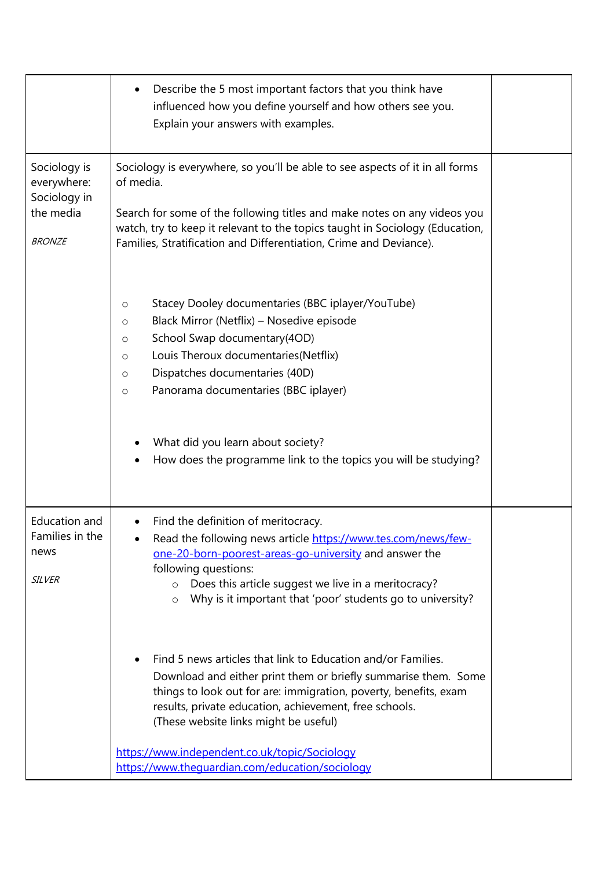|                                                                           | Describe the 5 most important factors that you think have<br>٠<br>influenced how you define yourself and how others see you.<br>Explain your answers with examples.                                                                                                                                                                                                                                                                                                                                                                                                                               |  |
|---------------------------------------------------------------------------|---------------------------------------------------------------------------------------------------------------------------------------------------------------------------------------------------------------------------------------------------------------------------------------------------------------------------------------------------------------------------------------------------------------------------------------------------------------------------------------------------------------------------------------------------------------------------------------------------|--|
| Sociology is<br>everywhere:<br>Sociology in<br>the media<br><b>BRONZE</b> | Sociology is everywhere, so you'll be able to see aspects of it in all forms<br>of media.<br>Search for some of the following titles and make notes on any videos you<br>watch, try to keep it relevant to the topics taught in Sociology (Education,<br>Families, Stratification and Differentiation, Crime and Deviance).                                                                                                                                                                                                                                                                       |  |
|                                                                           | Stacey Dooley documentaries (BBC iplayer/YouTube)<br>O<br>Black Mirror (Netflix) - Nosedive episode<br>$\circ$<br>School Swap documentary(4OD)<br>$\circ$<br>Louis Theroux documentaries (Netflix)<br>$\circ$<br>Dispatches documentaries (40D)<br>$\circ$<br>Panorama documentaries (BBC iplayer)<br>$\circ$<br>What did you learn about society?<br>How does the programme link to the topics you will be studying?                                                                                                                                                                             |  |
| Education and<br>Families in the<br>news<br><b>SILVER</b>                 | Find the definition of meritocracy.<br>Read the following news article https://www.tes.com/news/few-<br>one-20-born-poorest-areas-go-university and answer the<br>following questions:<br>Does this article suggest we live in a meritocracy?<br>$\circ$<br>Why is it important that 'poor' students go to university?<br>$\circ$<br>Find 5 news articles that link to Education and/or Families.<br>Download and either print them or briefly summarise them. Some<br>things to look out for are: immigration, poverty, benefits, exam<br>results, private education, achievement, free schools. |  |
|                                                                           | (These website links might be useful)<br>https://www.independent.co.uk/topic/Sociology<br>https://www.theguardian.com/education/sociology                                                                                                                                                                                                                                                                                                                                                                                                                                                         |  |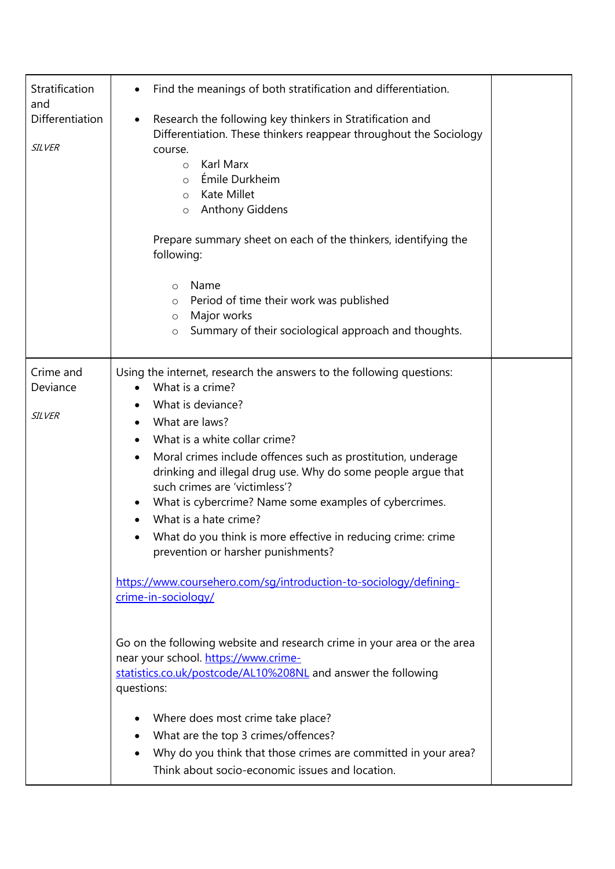| Stratification<br>and<br>Differentiation<br><b>SILVER</b> | Find the meanings of both stratification and differentiation.<br>Research the following key thinkers in Stratification and<br>٠<br>Differentiation. These thinkers reappear throughout the Sociology<br>course.<br>Karl Marx<br>$\circ$<br>Émile Durkheim<br>$\circ$<br>Kate Millet<br>$\circ$<br><b>Anthony Giddens</b><br>$\circ$<br>Prepare summary sheet on each of the thinkers, identifying the<br>following:<br>Name<br>$\circ$<br>Period of time their work was published<br>O<br>Major works<br>$\circ$<br>Summary of their sociological approach and thoughts.<br>$\circ$                                                                                                                                                                                                                                                                                                                                                                                                                                                    |  |
|-----------------------------------------------------------|----------------------------------------------------------------------------------------------------------------------------------------------------------------------------------------------------------------------------------------------------------------------------------------------------------------------------------------------------------------------------------------------------------------------------------------------------------------------------------------------------------------------------------------------------------------------------------------------------------------------------------------------------------------------------------------------------------------------------------------------------------------------------------------------------------------------------------------------------------------------------------------------------------------------------------------------------------------------------------------------------------------------------------------|--|
| Crime and<br>Deviance<br><b>SILVER</b>                    | Using the internet, research the answers to the following questions:<br>What is a crime?<br>What is deviance?<br>What are laws?<br>What is a white collar crime?<br>Moral crimes include offences such as prostitution, underage<br>$\bullet$<br>drinking and illegal drug use. Why do some people argue that<br>such crimes are 'victimless'?<br>What is cybercrime? Name some examples of cybercrimes.<br>What is a hate crime?<br>What do you think is more effective in reducing crime: crime<br>prevention or harsher punishments?<br>https://www.coursehero.com/sg/introduction-to-sociology/defining-<br>crime-in-sociology/<br>Go on the following website and research crime in your area or the area<br>near your school. https://www.crime-<br>statistics.co.uk/postcode/AL10%208NL and answer the following<br>questions:<br>Where does most crime take place?<br>What are the top 3 crimes/offences?<br>Why do you think that those crimes are committed in your area?<br>Think about socio-economic issues and location. |  |